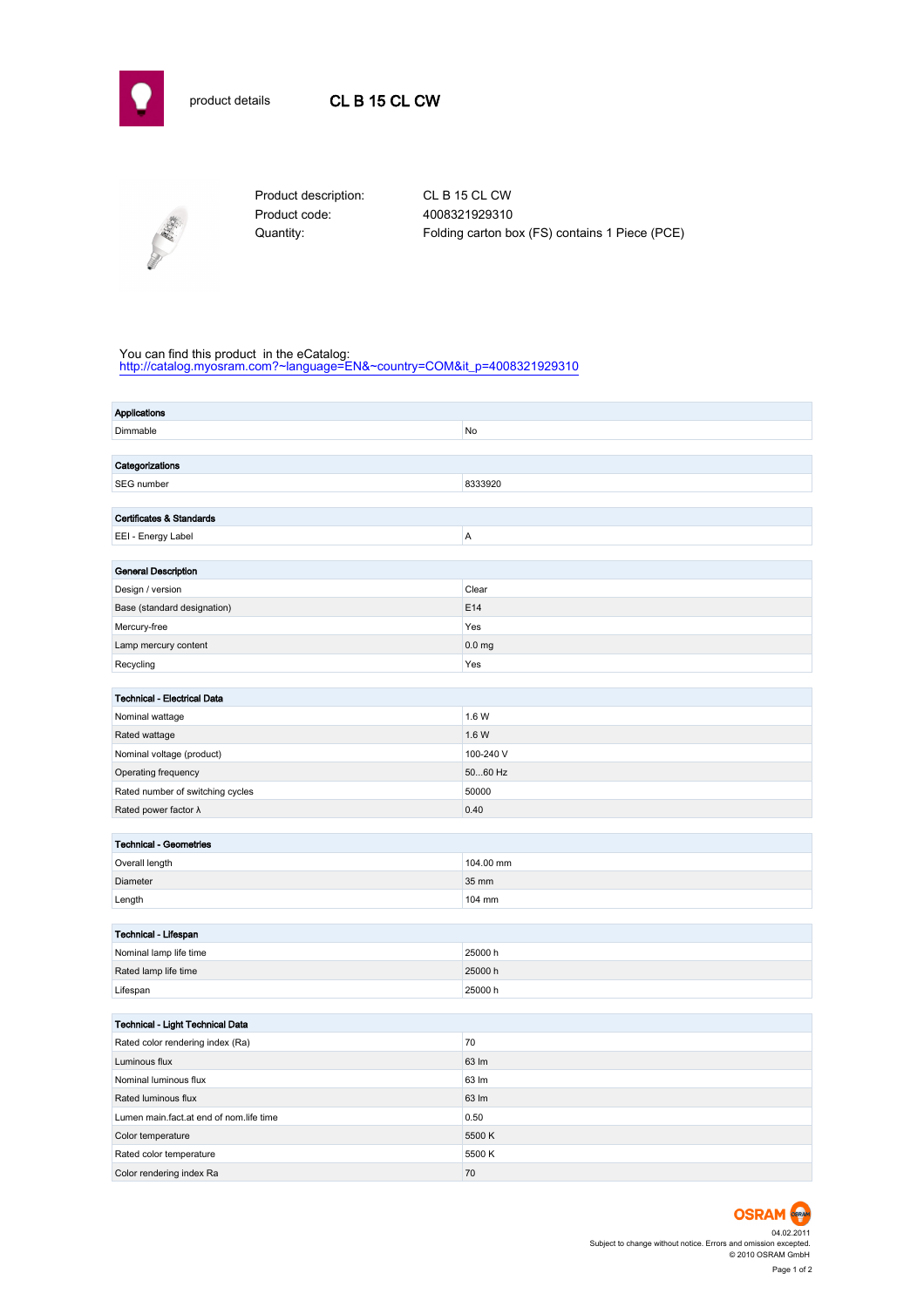



Product code: 4008321929310

Product description: CL B 15 CL CW Quantity: Folding carton box (FS) contains 1 Piece (PCE)

## You can find this product in the eCatalog:

[http://catalog.myosram.com?~language=EN&~country=COM&it\\_p=4008321929310](http://catalog.myosram.com?~language=EN&~country=COM&it_p=4008321929310)

| <b>Applications</b>                     |                   |  |  |  |  |
|-----------------------------------------|-------------------|--|--|--|--|
| Dimmable                                | No                |  |  |  |  |
|                                         |                   |  |  |  |  |
| Categorizations                         |                   |  |  |  |  |
| SEG number                              | 8333920           |  |  |  |  |
|                                         |                   |  |  |  |  |
| <b>Certificates &amp; Standards</b>     |                   |  |  |  |  |
| EEI - Energy Label                      | A                 |  |  |  |  |
|                                         |                   |  |  |  |  |
| <b>General Description</b>              |                   |  |  |  |  |
| Design / version                        | Clear             |  |  |  |  |
| Base (standard designation)             | E14               |  |  |  |  |
| Mercury-free                            | Yes               |  |  |  |  |
| Lamp mercury content                    | 0.0 <sub>mg</sub> |  |  |  |  |
| Recycling                               | Yes               |  |  |  |  |
|                                         |                   |  |  |  |  |
| <b>Technical - Electrical Data</b>      | 1.6 W             |  |  |  |  |
| Nominal wattage                         |                   |  |  |  |  |
| Rated wattage                           | 1.6 W             |  |  |  |  |
| Nominal voltage (product)               | 100-240 V         |  |  |  |  |
| Operating frequency                     | 5060 Hz           |  |  |  |  |
| Rated number of switching cycles        | 50000             |  |  |  |  |
| Rated power factor $\lambda$            | 0.40              |  |  |  |  |
| <b>Technical - Geometries</b>           |                   |  |  |  |  |
| Overall length                          | 104.00 mm         |  |  |  |  |
| Diameter                                | 35 mm             |  |  |  |  |
| Length                                  | 104 mm            |  |  |  |  |
|                                         |                   |  |  |  |  |
| Technical - Lifespan                    |                   |  |  |  |  |
| Nominal lamp life time                  | 25000 h           |  |  |  |  |
| Rated lamp life time                    | 25000 h           |  |  |  |  |
| Lifespan                                | 25000h            |  |  |  |  |
|                                         |                   |  |  |  |  |
| Technical - Light Technical Data        |                   |  |  |  |  |
| Rated color rendering index (Ra)        | 70                |  |  |  |  |
| Luminous flux                           | 63 lm             |  |  |  |  |
| Nominal luminous flux                   | 63 lm             |  |  |  |  |
| Rated luminous flux                     | 63 lm             |  |  |  |  |
| Lumen main.fact.at end of nom.life time | 0.50              |  |  |  |  |
| Color temperature                       | 5500K             |  |  |  |  |
| Rated color temperature                 | 5500 K            |  |  |  |  |
| Color rendering index Ra                | 70                |  |  |  |  |

**OSRAM** 04.02.2011 Subject to change without notice. Errors and omission excepted. © 2010 OSRAM GmbH Page 1 of 2